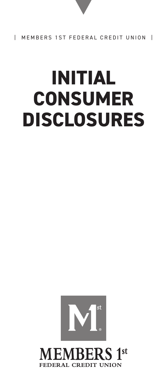# **INITIAL CONSUMER DISCLOSURES**



**MEMBERS 1st CREDIT UNION**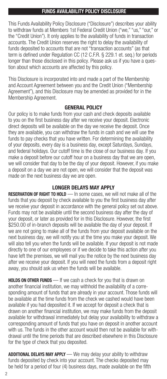## FUNDS AVAILABILITY POLICY DISCLOSURE

This Funds Availability Policy Disclosure ("Disclosure") describes your ability to withdraw funds at Members 1st Federal Credit Union ("we," "us," "our," or the "Credit Union"). It only applies to the availability of funds in transaction accounts. The Credit Union reserves the right to delay the availability of funds deposited to accounts that are not "transaction accounts" (as that term is defined under Regulation CC (12 C.F.R. § 229.1 et. seq.) for periods longer than those disclosed in this policy. Please ask us if you have a question about which accounts are affected by this policy.

This Disclosure is incorporated into and made a part of the Membership and Account Agreement between you and the Credit Union ("Membership Agreement"), and this Disclosure may be amended as provided for in the Membership Agreement.

#### GENERAL POLICY

Our policy is to make funds from your cash and check deposits available to you on the first business day after we receive your deposit. Electronic direct deposits will be available on the day we receive the deposit. Once they are available, you can withdraw the funds in cash and we will use the funds to pay checks that you have written. For determining the availability of your deposits, every day is a business day, except Saturdays, Sundays, and federal holidays. Our cutoff time is the close of our business day. If you make a deposit before our cutoff hour on a business day that we are open, we will consider that day to be the day of your deposit. However, if you make a deposit on a day we are not open, we will consider that the deposit was made on the next business day we are open.

# LONGER DELAYS MAY APPLY

RESERVATION OF RIGHT TO HOLD — In some cases, we will not make all of the funds that you deposit by check available to you the first business day after we receive your deposit in accordance with the general policy set out above. Funds may not be available until the second business day after the day of your deposit, or later as provided for in this Disclosure. However, the first \$250.00 of in-branch deposits will be available the day of your deposit. If we are not going to make all of the funds from your deposit available on the next business day, we will notify you at the time you make your deposit. We will also tell you when the funds will be available. If your deposit is not made directly to one of our employees or if we decide to take this action after you have left the premises, we will mail you the notice by the next business day after we receive your deposit. If you will need the funds from a deposit right away, you should ask us when the funds will be available.

HOLDS ON OTHER FUNDS — If we cash a check for you that is drawn on another financial institution, we may withhold the availability of a corresponding amount of funds that are already in your account. Those funds will be available at the time funds from the check we cashed would have been available if you had deposited it. If we accept for deposit a check that is drawn on another financial institution, we may make funds from the deposit available for withdrawal immediately but delay your availability to withdraw a corresponding amount of funds that you have on deposit in another account with us. The funds in the other account would then not be available for withdrawal until the time periods that are described elsewhere in this Disclosure for the type of check that you deposited.

**ADDITIONAL DELAYS MAY APPLY** — We may delay your ability to withdraw funds deposited by check into your account. The checks deposited may be held for a period of four (4) business days, made available on the fifth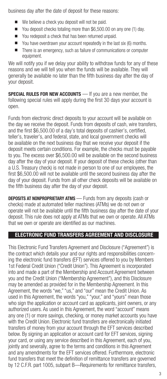business day after the date of deposit for these reasons:

- $\blacksquare$  We believe a check you deposit will not be paid.
- You deposit checks totaling more than \$6,500.00 on any one (1) day.
- You redeposit a check that has been returned unpaid.
- $\blacksquare$  You have overdrawn your account repeatedly in the last six (6) months.
- $\blacksquare$  There is an emergency, such as failure of communications or computer equipment.

We will notify you if we delay your ability to withdraw funds for any of these reasons and we will tell you when the funds will be available. They will generally be available no later than the fifth business day after the day of your deposit.

SPECIAL RULES FOR NEW ACCOUNTS - If you are a new member, the following special rules will apply during the first 30 days your account is open.

Funds from electronic direct deposits to your account will be available on the day we receive the deposit. Funds from deposits of cash, wire transfers, and the first \$6,500.00 of a day's total deposits of cashier's, certified, teller's, traveler's, and federal, state, and local government checks will be available on the next business day that we receive your deposit if the deposit meets certain conditions. For example, the checks must be payable to you. The excess over \$6,500.00 will be available on the second business day after the day of your deposit. If your deposit of these checks (other than a U.S. Treasury check) is not made in person to one of our employees, the first \$6,500.00 will not be available until the second business day after the day of your deposit. Funds from all other check deposits will be available on the fifth business day after the day of your deposit.

**DEPOSITS AT NONPROPRIETARY ATMS** — Funds from any deposits (cash or checks) made at automated teller machines (ATMs) we do not own or operate will not be available until the fifth business day after the date of your deposit. This rule does not apply at ATMs that we own or operate. All ATMs that we own or operate are identified as our machines.

## ELECTRONIC FUND TRANSFERS AGREEMENT AND DISCLOSURE

This Electronic Fund Transfers Agreement and Disclosure ("Agreement") is the contract which details your and our rights and responsibilities concerning the electronic fund transfers (EFT) services offered to you by Members 1st Federal Credit Union ("Credit Union"). This Agreement is incorporated into and made a part of the Membership and Account Agreement between you and the Credit Union ("Membership Agreement"), and this Disclosure may be amended as provided for in the Membership Agreement. In this Agreement, the words "we," "us," and "our" mean the Credit Union. As used in this Agreement, the words "you," "your," and "yours" mean those who sign the application or account card as applicants, joint owners, or any authorized users. As used in this Agreement, the word "account" means any one (1) or more savings, checking, or money market accounts you have with the Credit Union. Electronic fund transfers are electronically initiated transfers of money from your account through the EFT services described below. By signing an application or account card for EFT services, signing your card, or using any service described in this Agreement, each of you, jointly and severally, agree to the terms and conditions in this Agreement and any amendments for the EFT services offered. Furthermore, electronic fund transfers that meet the definition of remittance transfers are governed by 12 C.F.R. part 1005, subpart B—Requirements for remittance transfers,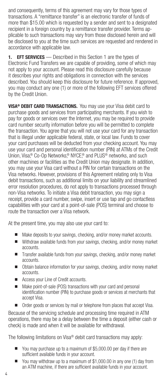and consequently, terms of this agreement may vary for those types of transactions. A "remittance transfer" is an electronic transfer of funds of more than \$15.00 which is requested by a sender and sent to a designated recipient in a foreign country by a remittance transfer provider. Terms applicable to such transactions may vary from those disclosed herein and will be disclosed to you at the time such services are requested and rendered in accordance with applicable law.

1. **EFT SERVICES** — Described in this Section 1 are the types of Electronic Fund Transfers we are capable of providing, some of which may not apply to your account. Please read this disclosure carefully because it describes your rights and obligations in connection with the services described. You should keep this disclosure for future reference. If approved, you may conduct any one (1) or more of the following EFT services offered by the Credit Union.

**VISA® DEBIT CARD TRANSACTIONS.** You may use your Visa debit card to purchase goods and services from participating merchants. If you wish to pay for goods or services over the Internet, you may be required to provide card number security information before you will be permitted to complete the transaction. You agree that you will not use your card for any transaction that is illegal under applicable federal, state, or local law. Funds to cover your card purchases will be deducted from your checking account. You may use your card and personal identification number (PIN) at ATMs of the Credit Union, Visa® Co-Op Networks® NYCE® and PLUS<sup>®</sup> networks, and such other machines or facilities as the Credit Union may designate. In addition, you may use your Visa card without a PIN for certain transactions on the Visa networks. However, provisions of this Agreement relating only to Visa debit transactions, such as additional limits on your liability and streamlined error resolution procedures, do not apply to transactions processed through non-Visa networks. To initiate a Visa debit transaction, you may sign a receipt, provide a card number, swipe, insert or use tap and go contactless capabilities with your card at a point-of-sale (POS) terminal and choose to route the transaction over a Visa network.

At the present time, you may also use your card to:

- $\blacksquare$  Make deposits to your savings, checking, and/or money market accounts.
- Withdraw available funds from your savings, checking, and/or money market accounts.
- Transfer available funds from your savings, checking, and/or money market accounts.
- Obtain balance information for your savings, checking, and/or money market accounts.
- Access your Line of Credit accounts.
- $\blacksquare$  Make point-of-sale (POS) transactions with your card and personal identification number (PIN) to purchase goods or services at merchants that accept Visa.
- Order goods or services by mail or telephone from places that accept Visa.

Because of the servicing schedule and processing time required in ATM operations, there may be a delay between the time a deposit (either cash or check) is made and when it will be available for withdrawal.

The following limitations on Visa® debit card transactions may apply:

- You may purchase up to a maximum of \$5,000.00 per day if there are sufficient available funds in your account.
- $\blacksquare$  You may withdraw up to a maximum of \$1,000,00 in any one (1) day from an ATM machine, if there are sufficient available funds in your account.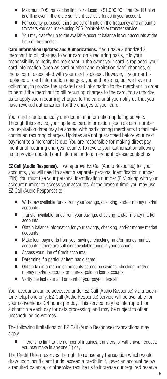- Maximum POS transaction limit is reduced to \$1,000,00 if the Credit Union is offline even if there are sufficient available funds in your account.
- For security purposes, there are other limits on the frequency and amount of transfers you can make using POS (point-of-sale) transfer service.
- You may transfer up to the available account balance in your accounts at the time of the transfer.

**Card Information Updates and Authorizations.** If you have authorized a merchant to bill charges to your card on a recurring basis, it is your responsibility to notify the merchant in the event your card is replaced, your card information (such as card number and expiration date) changes, or the account associated with your card is closed. However, if your card is replaced or card information changes, you authorize us, but we have no obligation, to provide the updated card information to the merchant in order to permit the merchant to bill recurring charges to the card. You authorize us to apply such recurring charges to the card until you notify us that you have revoked authorization for the charges to your card.

Your card is automatically enrolled in an information updating service. Through this service, your updated card information (such as card number and expiration date) may be shared with participating merchants to facilitate continued recurring charges. Updates are not guaranteed before your next payment to a merchant is due. You are responsible for making direct payment until recurring charges resume. To revoke your authorization allowing us to provide updated card information to a merchant, please contact us.

**EZ Call (Audio Response).** If we approve EZ Call (Audio Response) for your accounts, you will need to select a separate personal identification number (PIN). You must use your personal identification number (PIN) along with your account number to access your accounts. At the present time, you may use EZ Call (Audio Response) to:

- $\blacksquare$  Withdraw available funds from your savings, checking, and/or money market accounts.
- Transfer available funds from your savings, checking, and/or money market accounts.
- Obtain balance information for your savings, checking, and/or money market accounts.
- Make loan payments from your savings, checking, and/or money market accounts if there are sufficient available funds in your account.
- Access your Line of Credit accounts.
- $\blacksquare$  Determine if a particular item has cleared.
- Obtain tax information on amounts earned on savings, checking, and/or money market accounts or interest paid on loan accounts.
- $\blacksquare$  Verify the last date and amount of your payroll deposit.

Your accounts can be accessed under EZ Call (Audio Response) via a touchtone telephone only. EZ Call (Audio Response) service will be available for your convenience 24 hours per day. This service may be interrupted for a short time each day for data processing, and may be subject to other unscheduled downtimes.

The following limitations on EZ Call (Audio Response) transactions may apply:

■ There is no limit to the number of inquiries, transfers, or withdrawal requests you may make in any one (1) day.

The Credit Union reserves the right to refuse any transaction which would draw upon insufficient funds, exceed a credit limit, lower an account below a required balance, or otherwise require us to increase our required reserve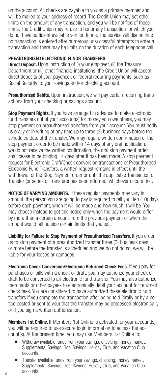on the account. All checks are payable to you as a primary member and will be mailed to your address of record. The Credit Union may set other limits on the amount of any transaction, and you will be notified of those limits. The Credit Union may refuse to honor any transaction for which you do not have sufficient available verified funds. The service will discontinue if no transaction is entered after numerous unsuccessful attempts to enter a transaction and there may be limits on the duration of each telephone call.

#### PREAUTHORIZED ELECTRONIC FUNDS TRANSFERS

**Direct Deposit.** Upon instruction of (i) your employer, (ii) the Treasury Department or (iii) other financial institutions, the Credit Union will accept direct deposits of your paycheck or federal recurring payments, such as Social Security, to your savings and/or checking account.

Preauthorized Debits. Upon instruction, we will pay certain recurring transactions from your checking or savings account.

Stop Payment Rights. If you have arranged in advance to make electronic fund transfers out of your account(s) for money you owe others, you may stop payment on preauthorized transfers from your account. You must notify us orally or in writing at any time up to three (3) business days before the scheduled date of the transfer. We may require written confirmation of the stop payment order to be made within 14 days of any oral notification. If we do not receive the written confirmation, the oral stop payment order shall cease to be binding 14 days after it has been made. A stop payment request for Electronic Draft/Check conversion transactions or Preauthorized Electronic Fund Transfers, a written request remains in effect until the withdrawal of the Stop Payment order or until the applicable Transaction or Transfer (or series of Transfers) has been returned, whichever occurs first.

NOTICE OF VARYING AMOUNTS. If these regular payments may vary in amount, the person you are going to pay is required to tell you, ten (10) days before each payment, when it will be made and how much it will be. You may choose instead to get this notice only when the payment would differ by more than a certain amount from the previous payment or when the amount would fall outside certain limits that you set.

Liability for Failure to Stop Payment of Preauthorized Transfers. If you order us to stop payment of a preauthorized transfer three (3) business days or more before the transfer is scheduled and we do not do so, we will be liable for your losses or damages.

Electronic Check Conversion/Electronic Returned Check Fees. If you pay for purchases or bills with a check or draft, you may authorize your check or draft to be converted to an electronic fund transfer. You may also authorize merchants or other payees to electronically debit your account for returned check fees. You are considered to have authorized these electronic fund transfers if you complete the transaction after being told (orally or by a notice posted or sent to you) that the transfer may be processed electronically or if you sign a written authorization.

**Members 1st Online.** If Members 1st Online is activated for your account(s), you will be required to use secure login information to access the account(s). At the present time, you may use Members 1st Online to:

- Withdraw available funds from your savings, checking, money market, Supplemental Savings, Goal Savings, Holiday Club, and Vacation Club accounts.
- n Transfer available funds from your savings, checking, money market, Supplemental Savings, Goal Savings, Holiday Club, and Vacation Club accounts.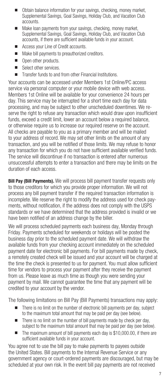- Obtain balance information for your savings, checking, money market, Supplemental Savings, Goal Savings, Holiday Club, and Vacation Club accounts.
- $\blacksquare$  Make loan payments from your savings, checking, money market, Supplemental Savings, Goal Savings, Holiday Club, and Vacation Club accounts, if there are sufficient available funds in your account.
- Access your Line of Credit accounts.
- Make bill payments to preauthorized creditors.
- **n** Open other products.
- Select other services.
- $\blacksquare$  Transfer funds to and from other Financial Institutions.

Your accounts can be accessed under Members 1st Online/PC access service via personal computer or your mobile device with web access. Members 1st Online will be available for your convenience 24 hours per day. This service may be interrupted for a short time each day for data processing, and may be subject to other unscheduled downtimes. We reserve the right to refuse any transaction which would draw upon insufficient funds, exceed a credit limit, lower an account below a required balance, or otherwise require us to increase our required reserve on the account. All checks are payable to you as a primary member and will be mailed to your address of record. We may set other limits on the amount of any transaction, and you will be notified of those limits. We may refuse to honor any transaction for which you do not have sufficient available verified funds. The service will discontinue if no transaction is entered after numerous unsuccessful attempts to enter a transaction and there may be limits on the duration of each access.

Bill Pay (Bill Payments). We will process bill payment transfer requests only to those creditors for which you provide proper information. We will not process any bill payment transfer if the required transaction information is incomplete. We reserve the right to modify the address used for check payments, without notification, if the address does not comply with the USPS standards or we have determined that the address provided is invalid or we have been notified of an address change by the biller.

We will process scheduled payments each business day, Monday through Friday. Payments scheduled for weekends or holidays will be posted the business day prior to the scheduled payment date. We will withdraw the available funds from your checking account immediately on the scheduled payment date for electronic bill payments. For bill payments made by check, a remotely created check will be issued and your account will be charged at the time the check is presented to us for payment. You must allow sufficient time for vendors to process your payment after they receive the payment from us. Please leave as much time as though you were sending your payment by mail. We cannot guarantee the time that any payment will be credited to your account by the vendor.

The following limitations on Bill Pay (Bill Payments) transactions may apply:

- $\blacksquare$  There is no limit on the number of electronic bill payments per day, subject to the maximum total amount that may be paid per day (see below).
- $\blacksquare$  There is no limit on the number of bill payments made by check per day, subject to the maximum total amount that may be paid per day (see below).
- The maximum amount of bill payments each day is \$10,000.00, if there are sufficient available funds in your account.

You agree not to use the bill pay to make payments to payees outside the United States. Bill payments to the Internal Revenue Service or any government agency or court-ordered payments are discouraged, but may be scheduled at your own risk. In the event bill pay payments are not received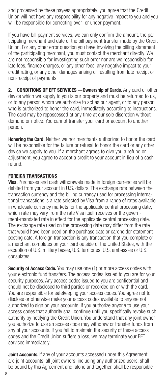and processed by these payees appropriately, you agree that the Credit Union will not have any responsibility for any negative impact to you and you will be responsible for correcting over- or under-payment.

If you have bill payment services, we can only confirm the amount, the participating merchant and date of the bill payment transfer made by the Credit Union. For any other error question you have involving the billing statement of the participating merchant, you must contact the merchant directly. We are not responsible for investigating such error nor are we responsible for late fees, finance charges, or any other fees, any negative impact to your credit rating, or any other damages arising or resulting from late receipt or non-receipt of payments.

2. CONDITIONS OF EFT SERVICES - Ownership of Cards. Any card or other device which we supply to you is our property and must be returned to us, or to any person whom we authorize to act as our agent, or to any person who is authorized to honor the card, immediately according to instructions. The card may be repossessed at any time at our sole discretion without demand or notice. You cannot transfer your card or account to another person.

**Honoring the Card.** Neither we nor merchants authorized to honor the card will be responsible for the failure or refusal to honor the card or any other device we supply to you. If a merchant agrees to give you a refund or adjustment, you agree to accept a credit to your account in lieu of a cash refund.

#### FOREIGN TRANSACTIONS

**Visa.** Purchases and cash withdrawals made in foreign currencies will be debited from your account in U.S. dollars. The exchange rate between the transaction currency and the billing currency used for processing international transactions is a rate selected by Visa from a range of rates available in wholesale currency markets for the applicable central processing date, which rate may vary from the rate Visa itself receives or the government-mandated rate in effect for the applicable central processing date. The exchange rate used on the processing date may differ from the rate that would have been used on the purchase date or cardholder statement posting date. A foreign transaction is any transaction that you complete or a merchant completes on your card outside of the United States, with the exception of U.S. military bases, U.S. territories, U.S. embassies or U.S. consulates.

Security of Access Code. You may use one (1) or more access codes with your electronic fund transfers. The access codes issued to you are for your security purposes. Any access codes issued to you are confidential and should not be disclosed to third parties or recorded on or with the card. You are responsible for safekeeping your access codes. You agree not to disclose or otherwise make your access codes available to anyone not authorized to sign on your accounts. If you authorize anyone to use your access codes that authority shall continue until you specifically revoke such authority by notifying the Credit Union. You understand that any joint owner you authorize to use an access code may withdraw or transfer funds from any of your accounts. If you fail to maintain the security of these access codes and the Credit Union suffers a loss, we may terminate your EFT services immediately.

Joint Accounts. If any of your accounts accessed under this Agreement are joint accounts, all joint owners, including any authorized users, shall be bound by this Agreement and, alone and together, shall be responsible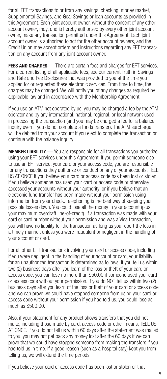for all EFT transactions to or from any savings, checking, money market, Supplemental Savings, and Goal Savings or loan accounts as provided in this Agreement. Each joint account owner, without the consent of any other account owner, may, and is hereby authorized by every other joint account owner, make any transaction permitted under this Agreement. Each joint account owner is authorized to act for the other account owners, and the Credit Union may accept orders and instructions regarding any EFT transaction on any account from any joint account owner.

FEES AND CHARGES — There are certain fees and charges for EFT services. For a current listing of all applicable fees, see our current Truth in Savings and Rate and Fee Disclosures that was provided to you at the time you applied for or requested these electronic services. From time to time, the charges may be changed. We will notify you of any changes as required by applicable law and in accordance with the Membership Agreement.

If you use an ATM not operated by us, you may be charged a fee by the ATM operator and by any international, national, regional, or local network used in processing the transaction (and you may be charged a fee for a balance inquiry even if you do not complete a funds transfer). The ATM surcharge will be debited from your account if you elect to complete the transaction or continue with the balance inquiry.

**MEMBER LIABILITY** — You are responsible for all transactions you authorize using your EFT services under this Agreement. If you permit someone else to use an EFT service, your card or your access code, you are responsible for any transactions they authorize or conduct on any of your accounts. TELL US AT ONCE if you believe your card or access code has been lost or stolen, if you believe someone has used your card or access code or otherwise accessed your accounts without your authority, or if you believe that an electronic fund transfer has been made without your permission using information from your check. Telephoning is the best way of keeping your possible losses down. You could lose all the money in your account (plus your maximum overdraft line-of-credit). If a transaction was made with your card or card number without your permission and was a Visa transaction, you will have no liability for the transaction as long as you report the loss in a timely manner, unless you were fraudulent or negligent in the handling of your account or card.

For all other EFT transactions involving your card or access code, including if you were negligent in the handling of your account or card, your liability for an unauthorized transaction is determined as follows. If you tell us within two (2) business days after you learn of the loss or theft of your card or access code, you can lose no more than \$50.00 if someone used your card or access code without your permission. If you do NOT tell us within two (2) business days after you learn of the loss or theft of your card or access code and we can prove we could have stopped someone from using your card or access code without your permission if you had told us, you could lose as much as \$500.00.

Also, if your statement for any product shows transfers that you did not make, including those made by card, access code or other means, TELL US AT ONCE. If you do not tell us within 60 days after the statement was mailed to you, you may not get back any money lost after the 60 days if we can prove that we could have stopped someone from making the transfers if you had told us in time. If a good reason (such as a hospital stay) kept you from telling us, we will extend the time periods.

If you believe your card or access code has been lost or stolen or that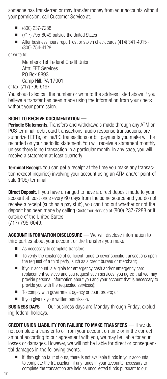someone has transferred or may transfer money from your accounts without your permission, call Customer Service at:

- $\blacksquare$  (800) 237-7288
- (717) 795-6049 outside the United States
- After business hours report lost or stolen check cards (414) 341-4015 -(800) 754-4128

or write to:

Members 1st Federal Credit Union Attn: EFT Services PO Box 8893 Camp Hill, PA 17001 or fax: (717) 795-5197

You should also call the number or write to the address listed above if you believe a transfer has been made using the information from your check without your permission.

## RIGHT TO RECEIVE DOCUMENTATION —

**Periodic Statements.** Transfers and withdrawals made through any ATM or POS terminal, debit card transactions, audio response transactions, preauthorized EFTs, online/PC transactions or bill payments you make will be recorded on your periodic statement. You will receive a statement monthly unless there is no transaction in a particular month. In any case, you will receive a statement at least quarterly.

**Terminal Receipt.** You can get a receipt at the time you make any transaction (except inquiries) involving your account using an ATM and/or point-ofsale (POS) terminal.

**Direct Deposit.** If you have arranged to have a direct deposit made to your account at least once every 60 days from the same source and you do not receive a receipt (such as a pay stub), you can find out whether or not the deposit has been made by calling Customer Service at (800) 237-7288 or if outside of the United States (717) 795-6049.

**ACCOUNT INFORMATION DISCLOSURE** — We will disclose information to third parties about your account or the transfers you make:

- As necessary to complete transfers:
- $\blacksquare$  To verify the existence of sufficient funds to cover specific transactions upon the request of a third party, such as a credit bureau or merchant;
- If your account is eligible for emergency cash and/or emergency card replacement services and you request such services, you agree that we may provide personal information about you and your account that is necessary to provide you with the requested service(s);
- To comply with government agency or court orders; or
- If you give us your written permission.

**BUSINESS DAYS** — Our business days are Monday through Friday, excluding federal holidays.

CREDIT UNION LIABILITY FOR FAILURE TO MAKE TRANSFERS — If we do not complete a transfer to or from your account on time or in the correct amount according to our agreement with you, we may be liable for your losses or damages. However, we will not be liable for direct or consequential damages in the following events:

If, through no fault of ours, there is not available funds in your accounts to complete the transaction, if any funds in your accounts necessary to complete the transaction are held as uncollected funds pursuant to our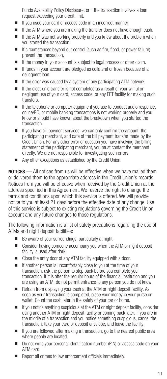Funds Availability Policy Disclosure, or if the transaction involves a loan request exceeding your credit limit.

- If you used your card or access code in an incorrect manner.
- $\blacksquare$  If the ATM where you are making the transfer does not have enough cash.
- If the ATM was not working properly and you knew about the problem when you started the transaction.
- If circumstances beyond our control (such as fire, flood, or power failure) prevent the transaction.
- If the money in your account is subject to legal process or other claim.
- $\blacksquare$  If funds in your account are pledged as collateral or frozen because of a delinquent loan.
- $\blacksquare$  If the error was caused by a system of any participating ATM network.
- $\blacksquare$  If the electronic transfer is not completed as a result of your willful or negligent use of your card, access code, or any EFT facility for making such transfers.
- If the telephone or computer equipment you use to conduct audio response, online/PC, or mobile banking transactions is not working properly and you know or should have known about the breakdown when you started the transaction.
- If you have bill payment services, we can only confirm the amount, the participating merchant, and date of the bill payment transfer made by the Credit Union. For any other error or question you have involving the billing statement of the participating merchant, you must contact the merchant directly. We are not responsible for investigating such errors.
- $\blacksquare$  Any other exceptions as established by the Credit Union.

NOTICES — All notices from us will be effective when we have mailed them or delivered them to the appropriate address in the Credit Union's records. Notices from you will be effective when received by the Credit Union at the address specified in this Agreement. We reserve the right to change the terms and conditions upon which this service is offered. We will provide notice to you at least 21 days before the effective date of any change. Use of this service is subject to existing regulations governing the Credit Union account and any future changes to those regulations.

The following information is a list of safety precautions regarding the use of ATMs and night deposit facilities:

- Be aware of your surroundings, particularly at night.
- Consider having someone accompany you when the ATM or night deposit facility is used after dark.
- Close the entry door of any ATM facility equipped with a door.
- $\blacksquare$  If another person is uncomfortably close to you at the time of your transaction, ask the person to step back before you complete your transaction. If it is after the regular hours of the financial institution and you are using an ATM, do not permit entrance to any person you do not know.
- Refrain from displaying your cash at the ATM or night deposit facility. As soon as your transaction is completed, place your money in your purse or wallet. Count the cash later in the safety of your car or home.
- If you notice anything suspicious at the ATM or night deposit facility, consider using another ATM or night deposit facility or coming back later. If you are in the middle of a transaction and you notice something suspicious, cancel the transaction, take your card or deposit envelope, and leave the facility.
- $\blacksquare$  If you are followed after making a transaction, go to the nearest public area where people are located.
- Do not write your personal identification number (PIN) or access code on your ATM card.
- **n** Report all crimes to law enforcement officials immediately.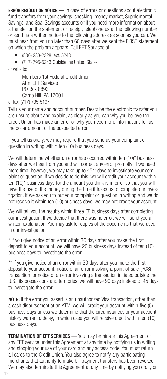**ERROR RESOLUTION NOTICE** — In case of errors or questions about electronic fund transfers from your savings, checking, money market, Supplemental Savings, and Goal Savings accounts or if you need more information about a transfer on the statement or receipt, telephone us at the following number or send us a written notice to the following address as soon as you can. We must hear from you no later than 60 days after we sent the FIRST statement on which the problem appears. Call EFT Services at:

n (800) 283-2328, ext. 5243

■ (717) 795-5243 Outside the United States

or write to:

Members 1st Federal Credit Union Attn: EFT Services PO Box 8893 Camp Hill, PA 17001 or fax: (717) 795-5197

Tell us your name and account number. Describe the electronic transfer you are unsure about and explain, as clearly as you can why you believe the Credit Union has made an error or why you need more information. Tell us the dollar amount of the suspected error.

If you tell us orally, we may require that you send us your complaint or question in writing within ten (10) business days.

We will determine whether an error has occurred within ten (10)<sup>\*</sup> business days after we hear from you and will correct any error promptly. If we need more time, however, we may take up to 45\*\* days to investigate your complaint or question. If we decide to do this, we will credit your account within ten (10)\* business days for the amount you think is in error so that you will have the use of the money during the time it takes us to complete our investigation. If we ask you to put your complaint or question in writing and we do not receive it within ten (10) business days, we may not credit your account.

We will tell you the results within three (3) business days after completing our investigation. If we decide that there was no error, we will send you a written explanation. You may ask for copies of the documents that we used in our investigation.

\* If you give notice of an error within 30 days after you make the first deposit to your account, we will have 20 business days instead of ten (10) business days to investigate the error.

\*\* If you give notice of an error within 30 days after you make the first deposit to your account, notice of an error involving a point-of-sale (POS) transaction, or notice of an error involving a transaction initiated outside the U.S., its possessions and territories, we will have 90 days instead of 45 days to investigate the error.

NOTE: If the error you assert is an unauthorized Visa transaction, other than a cash disbursement at an ATM, we will credit your account within five (5) business days unless we determine that the circumstances or your account history warrant a delay, in which case you will receive credit within ten (10) business days.

**TERMINATION OF EFT SERVICES** — You may terminate this Agreement or any EFT service under this Agreement at any time by notifying us in writing and stopping your use of your card and any access code. You must return all cards to the Credit Union. You also agree to notify any participating merchants that authority to make bill payment transfers has been revoked. We may also terminate this Agreement at any time by notifying you orally or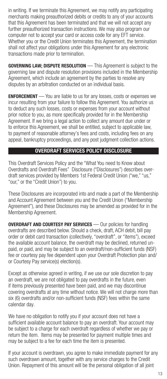in writing. If we terminate this Agreement, we may notify any participating merchants making preauthorized debits or credits to any of your accounts that this Agreement has been terminated and that we will not accept any further preauthorized transaction instructions. We may also program our computer not to accept your card or access code for any EFT service. Whether you or the Credit Union terminates this Agreement, the termination shall not affect your obligations under this Agreement for any electronic transactions made prior to termination.

GOVERNING LAW; DISPUTE RESOLUTION — This Agreement is subject to the governing law and dispute resolution provisions included in the Membership Agreement, which include an agreement by the parties to resolve any disputes by an arbitration conducted on an individual basis.

ENFORCEMENT — You are liable to us for any losses, costs or expenses we incur resulting from your failure to follow this Agreement. You authorize us to deduct any such losses, costs or expenses from your account without prior notice to you, as more specifically provided for in the Membership Agreement. If we bring a legal action to collect any amount due under or to enforce this Agreement, we shall be entitled, subject to applicable law, to payment of reasonable attorney's fees and costs, including fees on any appeal, bankruptcy proceedings, and any post judgment collection actions.

# OVERDRAFT SERVICES POLICY DISCLOSURE

This Overdraft Services Policy and the "What You need to Know about Overdrafts and Overdraft Fees" Disclosure ("Disclosures") describes overdraft services provided by Members 1st Federal Credit Union ("we," "us," "our," or the "Credit Union") to you.

These Disclosures are incorporated into and made a part of the Membership and Account Agreement between you and the Credit Union ("Membership Agreement"), and these Disclosures may be amended as provided for in the Membership Agreement.

**OVERDRAFT AND COURTESY PAY SERVICES** — Our policies for handling overdrafts are described below. Should a check, draft, ACH debit, bill pay order or debit card transaction (collectively, "overdraft", or "items"), exceed the available account balance, the overdraft may be declined, returned unpaid, or paid, and may be subject to an overdraft/non-sufficient funds (NSF) fee or courtesy pay fee dependent upon your Overdraft Protection plan and/ or Courtesy Pay service(s) election(s).

Except as otherwise agreed in writing, if we use our sole discretion to pay an overdraft, we are not obligated to pay overdrafts in the future, even if items previously presented have been paid, and we may discontinue covering overdrafts at any time without notice. We will not charge more than six (6) overdrafts and/or non-sufficient funds (NSF) fees within the same calendar day.

We have no obligation to notify you if your account does not have a sufficient available account balance to pay an overdraft. Your account may be subject to a charge for each overdraft regardless of whether we pay or return the item. Items may be presented for payment multiple times and may be subject to a fee for each time the item is presented.

If your account is overdrawn, you agree to make immediate payment for any such overdrawn amount, together with any service charges to the Credit Union. Repayment of this amount will be the personal obligation of all joint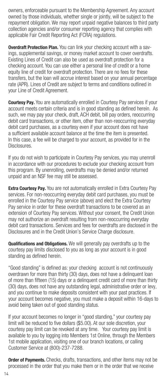owners, enforceable pursuant to the Membership Agreement. Any account owned by those individuals, whether single or jointly, will be subject to the repayment obligation. We may report unpaid negative balances to third party collection agencies and/or consumer reporting agency that complies with applicable Fair Credit Reporting Act (FCRA) regulations.

**Overdraft Protection Plan.** You can link your checking account with a savings, supplemental savings, or money market account to cover overdrafts. Existing Lines of Credit can also be used as overdraft protection for a checking account. You can use either a personal line of credit or a home equity line of credit for overdraft protection. There are no fees for these transfers, but the loan will accrue interest based on your annual percentage rate (APR). Lines of Credit are subject to terms and conditions outlined in your Line of Credit Agreement.

**Courtesy Pay.** You are automatically enrolled in Courtesy Pay services if your account meets certain criteria and is in good standing as defined herein. As such, we may pay your check, draft, ACH debit, bill pay orders, reoccurring debit card transactions, or other item, other than non-reoccurring everyday debit card purchases, as a courtesy even if your account does not have a sufficient available account balance at the time the item is presented. In this case, a fee will be charged to your account, as provided for in the Disclosures.

If you do not wish to participate in Courtesy Pay services, you may unenroll in accordance with our procedures to exclude your checking account from this program. By unenrolling, overdrafts may be denied and/or returned unpaid and an NSF fee may still be assessed.

**Extra Courtesy Pay.** You are not automatically enrolled in Extra Courtesy Pay services. For non-reoccurring everyday debit card purchases, you must be enrolled in the Courtesy Pay service (above) and elect the Extra Courtesy Pay service in order for these overdraft transactions to be covered as an extension of Courtesy Pay services. Without your consent, the Credit Union may not authorize an overdraft resulting from non-reoccurring everyday debit card transactions. Services and fees for overdrafts are disclosed in the Disclosures and in the Credit Union's Service Charge disclosure.

**Qualifications and Obligations.** We will generally pay overdrafts up to the courtesy pay limits disclosed to you as long as your account is in good standing as defined herein.

"Good standing" is defined as: your checking account is not continuously overdrawn for more than thirty (30) days, does not have a delinquent loan of more than fifteen (15) days or a delinquent credit card of more than thirty (30) days, does not have any outstanding legal, administrative order or levy, and you continue to make deposits consistent with your past practices. If your account becomes negative, you must make a deposit within 16-days to avoid being taken out of good standing status.

If your account becomes no longer in "good standing," your courtesy pay limit will be reduced to five dollars (\$5.00). At our sole discretion, your courtesy pay limit can be revoked at any time. Your courtesy pay limit is available to you by logging into Members 1st Online, through the Members 1st mobile application, visiting one of our branch locations, or calling Customer Service at (800)-237-7288.

**Order of Payments.** Checks, drafts, transactions, and other items may not be processed in the order that you make them or in the order that we receive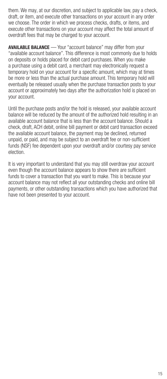them. We may, at our discretion, and subject to applicable law, pay a check, draft, or item, and execute other transactions on your account in any order we choose. The order in which we process checks, drafts, or items, and execute other transactions on your account may affect the total amount of overdraft fees that may be charged to your account.

**AVAILABLE BALANCE** — Your "account balance" may differ from your "available account balance". This difference is most commonly due to holds on deposits or holds placed for debit card purchases. When you make a purchase using a debit card, a merchant may electronically request a temporary hold on your account for a specific amount, which may at times be more or less than the actual purchase amount. This temporary hold will eventually be released usually when the purchase transaction posts to your account or approximately two days after the authorization hold is placed on your account.

Until the purchase posts and/or the hold is released, your available account balance will be reduced by the amount of the authorized hold resulting in an available account balance that is less than the account balance. Should a check, draft, ACH debit, online bill payment or debit card transaction exceed the available account balance, the payment may be declined, returned unpaid, or paid, and may be subject to an overdraft fee or non-sufficient funds (NSF) fee dependent upon your overdraft and/or courtesy pay service election.

It is very important to understand that you may still overdraw your account even though the account balance appears to show there are sufficient funds to cover a transaction that you want to make. This is because your account balance may not reflect all your outstanding checks and online bill payments, or other outstanding transactions which you have authorized that have not been presented to your account.